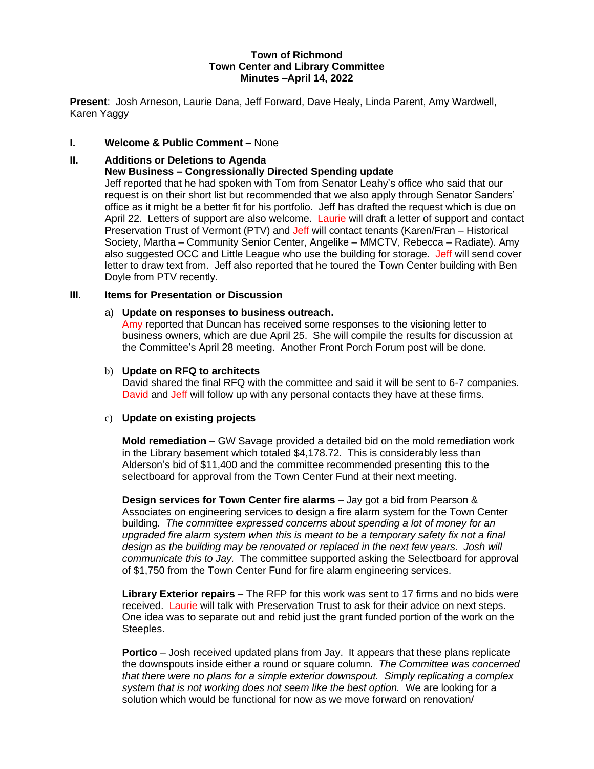## **Town of Richmond Town Center and Library Committee Minutes –April 14, 2022**

**Present**: Josh Arneson, Laurie Dana, Jeff Forward, Dave Healy, Linda Parent, Amy Wardwell, Karen Yaggy

## **I. Welcome & Public Comment –** None

# **II. Additions or Deletions to Agenda**

## **New Business – Congressionally Directed Spending update**

Jeff reported that he had spoken with Tom from Senator Leahy's office who said that our request is on their short list but recommended that we also apply through Senator Sanders' office as it might be a better fit for his portfolio. Jeff has drafted the request which is due on April 22. Letters of support are also welcome. Laurie will draft a letter of support and contact Preservation Trust of Vermont (PTV) and Jeff will contact tenants (Karen/Fran – Historical Society, Martha – Community Senior Center, Angelike – MMCTV, Rebecca – Radiate). Amy also suggested OCC and Little League who use the building for storage. Jeff will send cover letter to draw text from. Jeff also reported that he toured the Town Center building with Ben Doyle from PTV recently.

## **III. Items for Presentation or Discussion**

### a) **Update on responses to business outreach.**

Amy reported that Duncan has received some responses to the visioning letter to business owners, which are due April 25. She will compile the results for discussion at the Committee's April 28 meeting. Another Front Porch Forum post will be done.

### b) **Update on RFQ to architects**

David shared the final RFQ with the committee and said it will be sent to 6-7 companies. David and Jeff will follow up with any personal contacts they have at these firms.

## c) **Update on existing projects**

**Mold remediation** – GW Savage provided a detailed bid on the mold remediation work in the Library basement which totaled \$4,178.72. This is considerably less than Alderson's bid of \$11,400 and the committee recommended presenting this to the selectboard for approval from the Town Center Fund at their next meeting.

**Design services for Town Center fire alarms** – Jay got a bid from Pearson & Associates on engineering services to design a fire alarm system for the Town Center building. *The committee expressed concerns about spending a lot of money for an upgraded fire alarm system when this is meant to be a temporary safety fix not a final design as the building may be renovated or replaced in the next few years. Josh will communicate this to Jay.* The committee supported asking the Selectboard for approval of \$1,750 from the Town Center Fund for fire alarm engineering services.

**Library Exterior repairs** – The RFP for this work was sent to 17 firms and no bids were received. Laurie will talk with Preservation Trust to ask for their advice on next steps. One idea was to separate out and rebid just the grant funded portion of the work on the Steeples.

**Portico** – Josh received updated plans from Jay. It appears that these plans replicate the downspouts inside either a round or square column. *The Committee was concerned that there were no plans for a simple exterior downspout. Simply replicating a complex system that is not working does not seem like the best option.* We are looking for a solution which would be functional for now as we move forward on renovation/